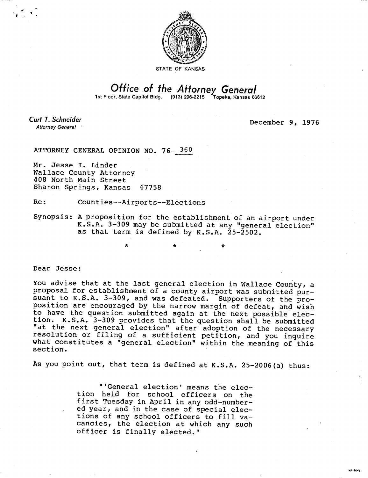

## Office of the Attorney General

1st Floor, State Capitol Bldg. (913) 296-2215 Topeka, Kansas 66612

Curt T. Schneider **Attorney General** 

December 9, 1976

MI-1043

ATTORNEY GENERAL OPINION NO. 76- 360

Mr. Jesse I. Linder Wallace County Attorney 408 North Main Street Sharon Springs, Kansas 67758

Re: Counties--Airports--Elections

Synopsis: A proposition for the establishment of an airport under K.S.A. 3-309 may be submitted at any "general election" as that term is defined by K.S.A. 25-2502.

 $\star$  .  $\star$  .

Dear Jesse:

You advise that at the last general election in Wallace County, a proposal for establishment of a county airport was submitted pursuant to K.S.A. 3-309, and was defeated. Supporters of the proposition are encouraged by the narrow margin of defeat, and wish to have the question submitted again at the next possible election. K.S.A. 3-309 provides that the question shall be submitted "at the next general election" after adoption of the necessary resolution or filing of a sufficient petition, and you inquire what constitutes a "general election" within the meaning of this section.

As you point out, that term is defined at K.S.A. 25-2006(a) thus:

"'General election' means the election held for school officers on the first Tuesday in April in any odd-numbered year, and in the case of special elections of any school officers to fill vacancies, the election at which any such officer is finally elected."